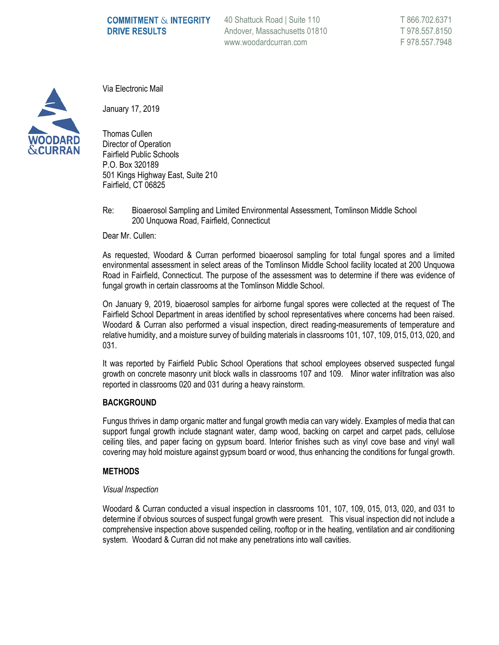40 Shattuck Road | Suite 110 Andover, Massachusetts 01810 www.woodardcurran.com



Via Electronic Mail

January 17, 2019

Thomas Cullen Director of Operation Fairfield Public Schools P.O. Box 320189 501 Kings Highway East, Suite 210 Fairfield, CT 06825

Re: Bioaerosol Sampling and Limited Environmental Assessment, Tomlinson Middle School 200 Unquowa Road, Fairfield, Connecticut

Dear Mr. Cullen:

As requested, Woodard & Curran performed bioaerosol sampling for total fungal spores and a limited environmental assessment in select areas of the Tomlinson Middle School facility located at 200 Unquowa Road in Fairfield, Connecticut. The purpose of the assessment was to determine if there was evidence of fungal growth in certain classrooms at the Tomlinson Middle School.

On January 9, 2019, bioaerosol samples for airborne fungal spores were collected at the request of The Fairfield School Department in areas identified by school representatives where concerns had been raised. Woodard & Curran also performed a visual inspection, direct reading-measurements of temperature and relative humidity, and a moisture survey of building materials in classrooms 101, 107, 109, 015, 013, 020, and 031.

It was reported by Fairfield Public School Operations that school employees observed suspected fungal growth on concrete masonry unit block walls in classrooms 107 and 109. Minor water infiltration was also reported in classrooms 020 and 031 during a heavy rainstorm.

#### **BACKGROUND**

Fungus thrives in damp organic matter and fungal growth media can vary widely. Examples of media that can support fungal growth include stagnant water, damp wood, backing on carpet and carpet pads, cellulose ceiling tiles, and paper facing on gypsum board. Interior finishes such as vinyl cove base and vinyl wall covering may hold moisture against gypsum board or wood, thus enhancing the conditions for fungal growth.

#### **METHODS**

#### *Visual Inspection*

Woodard & Curran conducted a visual inspection in classrooms 101, 107, 109, 015, 013, 020, and 031 to determine if obvious sources of suspect fungal growth were present. This visual inspection did not include a comprehensive inspection above suspended ceiling, rooftop or in the heating, ventilation and air conditioning system. Woodard & Curran did not make any penetrations into wall cavities.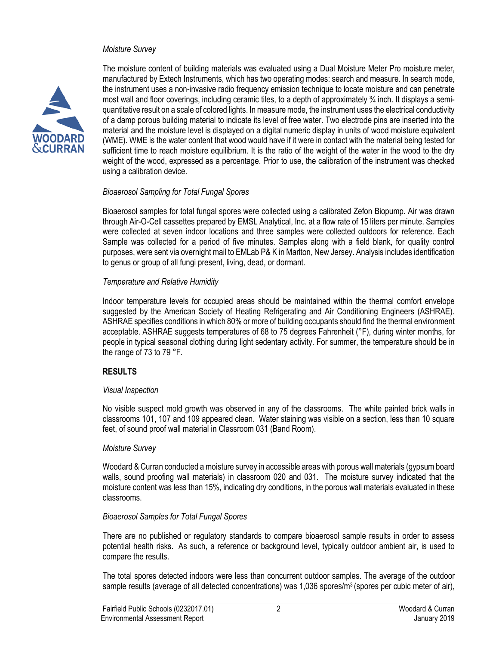# *Moisture Survey*



The moisture content of building materials was evaluated using a Dual Moisture Meter Pro moisture meter, manufactured by Extech Instruments, which has two operating modes: search and measure. In search mode, the instrument uses a non-invasive radio frequency emission technique to locate moisture and can penetrate most wall and floor coverings, including ceramic tiles, to a depth of approximately  $\frac{3}{4}$  inch. It displays a semiquantitative result on a scale of colored lights. In measure mode, the instrument uses the electrical conductivity of a damp porous building material to indicate its level of free water. Two electrode pins are inserted into the material and the moisture level is displayed on a digital numeric display in units of wood moisture equivalent (WME). WME is the water content that wood would have if it were in contact with the material being tested for sufficient time to reach moisture equilibrium. It is the ratio of the weight of the water in the wood to the dry weight of the wood, expressed as a percentage. Prior to use, the calibration of the instrument was checked using a calibration device.

# *Bioaerosol Sampling for Total Fungal Spores*

Bioaerosol samples for total fungal spores were collected using a calibrated Zefon Biopump. Air was drawn through Air-O-Cell cassettes prepared by EMSL Analytical, Inc. at a flow rate of 15 liters per minute. Samples were collected at seven indoor locations and three samples were collected outdoors for reference. Each Sample was collected for a period of five minutes. Samples along with a field blank, for quality control purposes, were sent via overnight mail to EMLab P& K in Marlton, New Jersey. Analysis includes identification to genus or group of all fungi present, living, dead, or dormant.

# *Temperature and Relative Humidity*

Indoor temperature levels for occupied areas should be maintained within the thermal comfort envelope suggested by the American Society of Heating Refrigerating and Air Conditioning Engineers (ASHRAE). ASHRAE specifies conditions in which 80% or more of building occupants should find the thermal environment acceptable. ASHRAE suggests temperatures of 68 to 75 degrees Fahrenheit (°F), during winter months, for people in typical seasonal clothing during light sedentary activity. For summer, the temperature should be in the range of 73 to 79 °F.

# **RESULTS**

# *Visual Inspection*

No visible suspect mold growth was observed in any of the classrooms. The white painted brick walls in classrooms 101, 107 and 109 appeared clean. Water staining was visible on a section, less than 10 square feet, of sound proof wall material in Classroom 031 (Band Room).

# *Moisture Survey*

Woodard & Curran conducted a moisture survey in accessible areas with porous wall materials (gypsum board walls, sound proofing wall materials) in classroom 020 and 031. The moisture survey indicated that the moisture content was less than 15%, indicating dry conditions, in the porous wall materials evaluated in these classrooms.

# *Bioaerosol Samples for Total Fungal Spores*

There are no published or regulatory standards to compare bioaerosol sample results in order to assess potential health risks. As such, a reference or background level, typically outdoor ambient air, is used to compare the results.

The total spores detected indoors were less than concurrent outdoor samples. The average of the outdoor sample results (average of all detected concentrations) was 1,036 spores/m<sup>3</sup> (spores per cubic meter of air),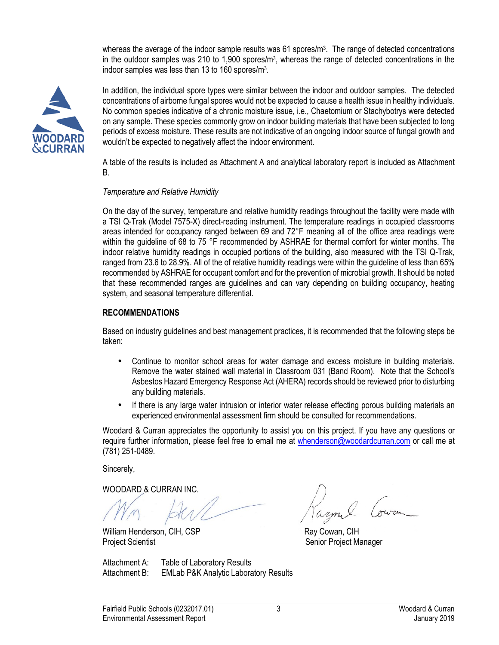whereas the average of the indoor sample results was 61 spores/m<sup>3</sup>. The range of detected concentrations in the outdoor samples was 210 to 1,900 spores/m<sup>3</sup>, whereas the range of detected concentrations in the indoor samples was less than 13 to 160 spores/m<sup>3</sup> .



In addition, the individual spore types were similar between the indoor and outdoor samples. The detected concentrations of airborne fungal spores would not be expected to cause a health issue in healthy individuals. No common species indicative of a chronic moisture issue, i.e., Chaetomium or Stachybotrys were detected on any sample. These species commonly grow on indoor building materials that have been subjected to long periods of excess moisture. These results are not indicative of an ongoing indoor source of fungal growth and wouldn't be expected to negatively affect the indoor environment.

A table of the results is included as Attachment A and analytical laboratory report is included as Attachment B.

### *Temperature and Relative Humidity*

On the day of the survey, temperature and relative humidity readings throughout the facility were made with a TSI Q-Trak (Model 7575-X) direct-reading instrument. The temperature readings in occupied classrooms areas intended for occupancy ranged between 69 and 72°F meaning all of the office area readings were within the guideline of 68 to 75 °F recommended by ASHRAE for thermal comfort for winter months. The indoor relative humidity readings in occupied portions of the building, also measured with the TSI Q-Trak, ranged from 23.6 to 28.9%. All of the of relative humidity readings were within the guideline of less than 65% recommended by ASHRAE for occupant comfort and for the prevention of microbial growth. It should be noted that these recommended ranges are guidelines and can vary depending on building occupancy, heating system, and seasonal temperature differential.

# **RECOMMENDATIONS**

Based on industry guidelines and best management practices, it is recommended that the following steps be taken:

- Continue to monitor school areas for water damage and excess moisture in building materials. Remove the water stained wall material in Classroom 031 (Band Room). Note that the School's Asbestos Hazard Emergency Response Act (AHERA) records should be reviewed prior to disturbing any building materials.
- If there is any large water intrusion or interior water release effecting porous building materials an experienced environmental assessment firm should be consulted for recommendations.

Woodard & Curran appreciates the opportunity to assist you on this project. If you have any questions or require further information, please feel free to email me at whenderson@woodardcurran.com or call me at (781) 251-0489.

Sincerely,

WOODARD & CURRAN INC.

William Henderson, CIH, CSP **Ray Cowan, CIH** Project Scientist **Senior Project Manager** Senior Project Manager

Attachment A: Table of Laboratory Results Attachment B: EMLab P&K Analytic Laboratory Results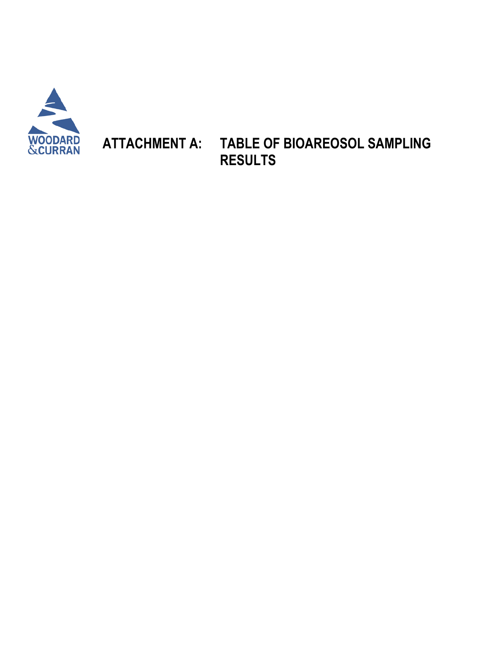

# **ATTACHMENT A: TABLE OF BIOAREOSOL SAMPLING RESULTS**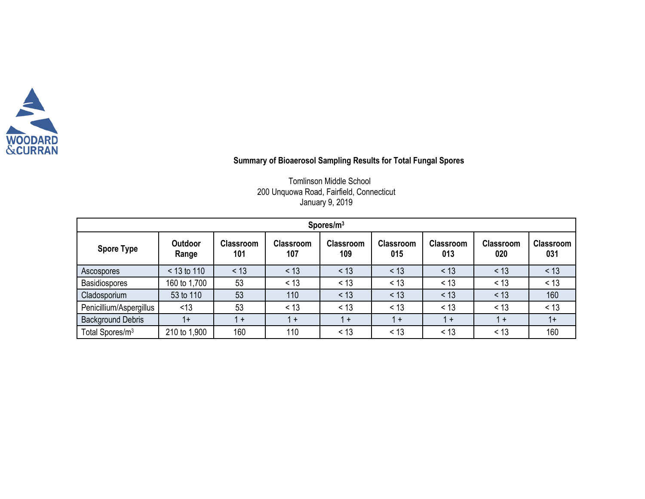

# **Summary of Bioaerosol Sampling Results for Total Fungal Spores**

Tomlinson Middle School 200 Unquowa Road, Fairfield, Connecticut January 9, 2019

| Spores/ $m3$                |                         |                         |                         |                  |                         |                         |                  |                         |  |
|-----------------------------|-------------------------|-------------------------|-------------------------|------------------|-------------------------|-------------------------|------------------|-------------------------|--|
| <b>Spore Type</b>           | <b>Outdoor</b><br>Range | <b>Classroom</b><br>101 | <b>Classroom</b><br>107 | Classroom<br>109 | <b>Classroom</b><br>015 | <b>Classroom</b><br>013 | Classroom<br>020 | <b>Classroom</b><br>031 |  |
| Ascospores                  | $< 13$ to 110           | < 13                    | < 13                    | $<$ 13           | < 13                    | < 13                    | < 13             | < 13                    |  |
| <b>Basidiospores</b>        | 160 to 1,700            | 53                      | < 13                    | < 13             | < 13                    | < 13                    | < 13             | < 13                    |  |
| Cladosporium                | 53 to 110               | 53                      | 110                     | < 13             | < 13                    | < 13                    | < 13             | 160                     |  |
| Penicillium/Aspergillus     | < 13                    | 53                      | < 13                    | < 13             | < 13                    | < 13                    | < 13             | < 13                    |  |
| <b>Background Debris</b>    | $1+$                    | 1 +                     | $1 +$                   | $1 +$            | $1 +$                   | $1 +$                   | $1 +$            | $1+$                    |  |
| Total Spores/m <sup>3</sup> | 210 to 1,900            | 160                     | 110                     | < 13             | < 13                    | < 13                    | < 13             | 160                     |  |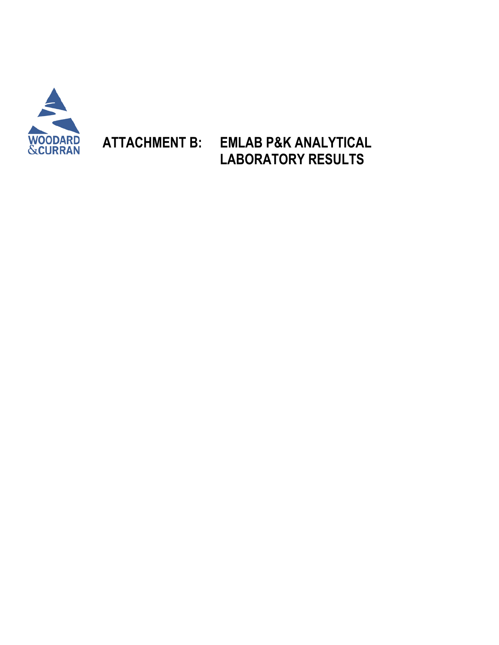

# **ATTACHMENT B: EMLAB P&K ANALYTICAL LABORATORY RESULTS**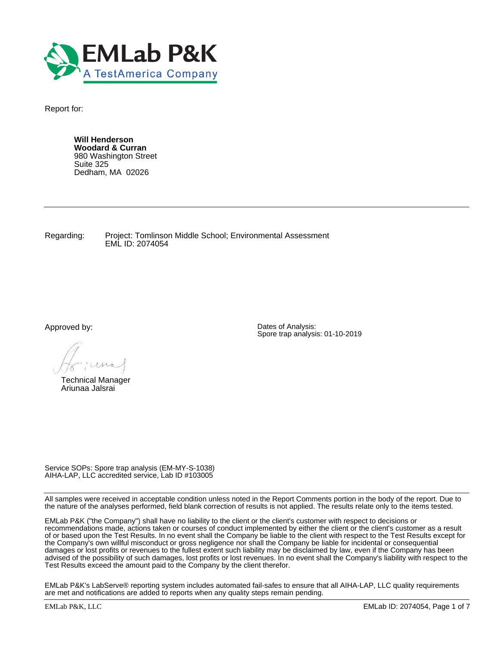

Report for:

**Will Henderson Woodard & Curran** 980 Washington Street Suite 325 Dedham, MA 02026

Regarding: Project: Tomlinson Middle School; Environmental Assessment EML ID: 2074054

Approved by:

Technical Manager Ariunaa Jalsrai

Dates of Analysis: Spore trap analysis: 01-10-2019

Service SOPs: Spore trap analysis (EM-MY-S-1038) AIHA-LAP, LLC accredited service, Lab ID #103005

All samples were received in acceptable condition unless noted in the Report Comments portion in the body of the report. Due to the nature of the analyses performed, field blank correction of results is not applied. The results relate only to the items tested.

EMLab P&K ("the Company") shall have no liability to the client or the client's customer with respect to decisions or recommendations made, actions taken or courses of conduct implemented by either the client or the client's customer as a result of or based upon the Test Results. In no event shall the Company be liable to the client with respect to the Test Results except for the Company's own willful misconduct or gross negligence nor shall the Company be liable for incidental or consequential damages or lost profits or revenues to the fullest extent such liability may be disclaimed by law, even if the Company has been advised of the possibility of such damages, lost profits or lost revenues. In no event shall the Company's liability with respect to the Test Results exceed the amount paid to the Company by the client therefor.

EMLab P&K's LabServe® reporting system includes automated fail-safes to ensure that all AIHA-LAP, LLC quality requirements are met and notifications are added to reports when any quality steps remain pending.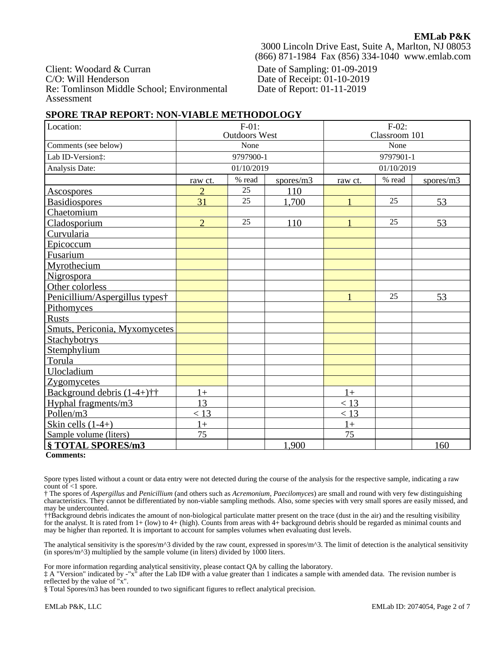Client: Woodard & Curran C/O: Will Henderson Re: Tomlinson Middle School; Environmental Assessment

Date of Sampling: 01-09-2019 Date of Receipt: 01-10-2019 Date of Report: 01-11-2019

#### **SPORE TRAP REPORT: NON-VIABLE METHODOLOGY**

| Location:                                                  | $F-01$ :<br><b>Outdoors West</b> |            |           | $F-02$ :<br>Classroom 101 |            |           |
|------------------------------------------------------------|----------------------------------|------------|-----------|---------------------------|------------|-----------|
| Comments (see below)                                       | None                             |            |           | None                      |            |           |
| Lab ID-Version:                                            | 9797900-1                        |            |           | 9797901-1                 |            |           |
| Analysis Date:                                             |                                  | 01/10/2019 |           |                           | 01/10/2019 |           |
|                                                            | raw ct.                          | % read     | spores/m3 | % read<br>raw ct.         |            | spores/m3 |
| <b>Ascospores</b>                                          | $\overline{2}$                   | 25         | 110       |                           |            |           |
| <b>Basidiospores</b>                                       | 31                               | 25         | 1.700     | 1                         | 25         | 53        |
| Chaetomium                                                 |                                  |            |           |                           |            |           |
| Cladosporium                                               | $\overline{2}$                   | 25         | 110       |                           | 25         | 53        |
| Curvularia                                                 |                                  |            |           |                           |            |           |
| Epicoccum                                                  |                                  |            |           |                           |            |           |
| Fusarium                                                   |                                  |            |           |                           |            |           |
| Myrothecium                                                |                                  |            |           |                           |            |           |
| <b>Nigrospora</b>                                          |                                  |            |           |                           |            |           |
| Other colorless                                            |                                  |            |           |                           |            |           |
| Penicillium/Aspergillus types†                             |                                  |            |           |                           | 25         | 53        |
| <b>Pithomyces</b>                                          |                                  |            |           |                           |            |           |
| <b>Rusts</b>                                               |                                  |            |           |                           |            |           |
| Smuts, Periconia, Myxomycetes                              |                                  |            |           |                           |            |           |
| <b>Stachybotrys</b>                                        |                                  |            |           |                           |            |           |
| Stemphylium                                                |                                  |            |           |                           |            |           |
| Torula                                                     |                                  |            |           |                           |            |           |
| Ulocladium                                                 |                                  |            |           |                           |            |           |
| <b>Zygomycetes</b>                                         |                                  |            |           |                           |            |           |
| Background debris $(1-4+)$ <sup><math>\dagger</math></sup> | $1+$                             |            |           | $1+$                      |            |           |
| Hyphal fragments/m3                                        | 13                               |            |           | < 13                      |            |           |
| Pollen/m3                                                  | < 13                             |            |           | < 13                      |            |           |
| Skin cells $(1-4+)$                                        | $1+$                             |            |           | $1+$                      |            |           |
| Sample volume (liters)                                     | 75                               |            |           | 75                        |            |           |
| § TOTAL SPORES/m3                                          |                                  |            | 1,900     |                           |            | 160       |

**Comments:**

Spore types listed without a count or data entry were not detected during the course of the analysis for the respective sample, indicating a raw count of  $\leq 1$  spore.

† The spores of *Aspergillus* and *Penicillium* (and others such as *Acremonium, Paecilomyces*) are small and round with very few distinguishing characteristics. They cannot be differentiated by non-viable sampling methods. Also, some species with very small spores are easily missed, and may be undercounted.

††Background debris indicates the amount of non-biological particulate matter present on the trace (dust in the air) and the resulting visibility for the analyst. It is rated from  $1+$  (low) to  $4+$  (high). Counts from areas with  $4+$  background debris should be regarded as minimal counts and may be higher than reported. It is important to account for samples volumes when evaluating dust levels.

The analytical sensitivity is the spores/m^3 divided by the raw count, expressed in spores/m^3. The limit of detection is the analytical sensitivity (in spores/ $m^2$ ) multiplied by the sample volume (in liters) divided by 1000 liters.

For more information regarding analytical sensitivity, please contact QA by calling the laboratory.

‡ A "Version" indicated by -"x" after the Lab ID# with a value greater than 1 indicates a sample with amended data. The revision number is reflected by the value of "x".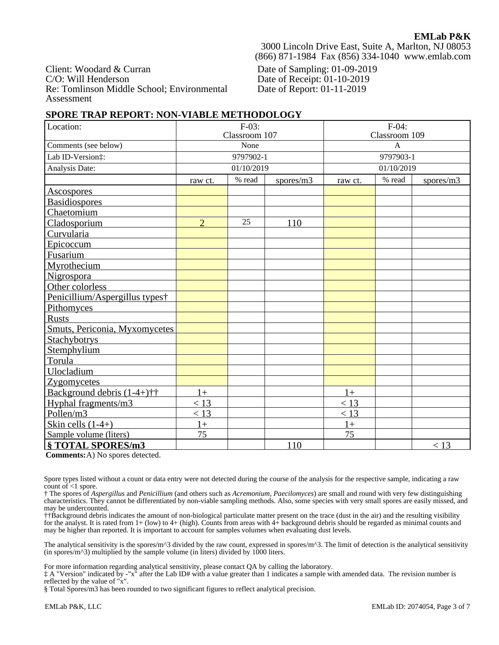Client: Woodard & Curran C/O: Will Henderson Re: Tomlinson Middle School; Environmental Assessment

Date of Sampling: 01-09-2019 Date of Receipt: 01-10-2019 Date of Report: 01-11-2019

#### **SPORE TRAP REPORT: NON-VIABLE METHODOLOGY**

| Location:                      | $F-03:$<br>Classroom 107 |            |              | $F-04$ :<br>Classroom 109 |            |           |
|--------------------------------|--------------------------|------------|--------------|---------------------------|------------|-----------|
| Comments (see below)           | None                     |            | $\mathbf{A}$ |                           |            |           |
| Lab ID-Version:                | 9797902-1                |            | 9797903-1    |                           |            |           |
| Analysis Date:                 |                          | 01/10/2019 |              |                           | 01/10/2019 |           |
|                                | raw ct.                  | % read     | spores/m3    | % read<br>raw ct.         |            | spores/m3 |
| <b>Ascospores</b>              |                          |            |              |                           |            |           |
| <b>Basidiospores</b>           |                          |            |              |                           |            |           |
| Chaetomium                     |                          |            |              |                           |            |           |
| Cladosporium                   | $\overline{2}$           | 25         | 110          |                           |            |           |
| Curvularia                     |                          |            |              |                           |            |           |
| Epicoccum                      |                          |            |              |                           |            |           |
| Fusarium                       |                          |            |              |                           |            |           |
| Myrothecium                    |                          |            |              |                           |            |           |
| Nigrospora                     |                          |            |              |                           |            |           |
| Other colorless                |                          |            |              |                           |            |           |
| Penicillium/Aspergillus types† |                          |            |              |                           |            |           |
| Pithomyces                     |                          |            |              |                           |            |           |
| <b>Rusts</b>                   |                          |            |              |                           |            |           |
| Smuts, Periconia, Myxomycetes  |                          |            |              |                           |            |           |
| <b>Stachybotrys</b>            |                          |            |              |                           |            |           |
| <b>Stemphylium</b>             |                          |            |              |                           |            |           |
| Torula                         |                          |            |              |                           |            |           |
| Ulocladium                     |                          |            |              |                           |            |           |
| Zygomycetes                    |                          |            |              |                           |            |           |
| Background debris $(1-4+)$ ††  | $1+$                     |            |              | $1+$                      |            |           |
| Hyphal fragments/m3            | < 13                     |            |              | $<$ 13                    |            |           |
| Pollen/m3                      | < 13                     |            |              | $<$ 13                    |            |           |
| Skin cells $(1-4+)$            | $1+$                     |            |              | $1+$                      |            |           |
| Sample volume (liters)         | 75                       |            |              | 75                        |            |           |
| § TOTAL SPORES/m3              |                          |            | 110          |                           |            | < 13      |

**Comments:**A) No spores detected.

Spore types listed without a count or data entry were not detected during the course of the analysis for the respective sample, indicating a raw count of <1 spore.

† The spores of *Aspergillus* and *Penicillium* (and others such as *Acremonium, Paecilomyces*) are small and round with very few distinguishing characteristics. They cannot be differentiated by non-viable sampling methods. Also, some species with very small spores are easily missed, and may be undercounted.

††Background debris indicates the amount of non-biological particulate matter present on the trace (dust in the air) and the resulting visibility for the analyst. It is rated from  $1+$  (low) to  $4+$  (high). Counts from areas with  $4+$  background debris should be regarded as minimal counts and may be higher than reported. It is important to account for samples volumes when evaluating dust levels.

The analytical sensitivity is the spores/m^3 divided by the raw count, expressed in spores/m^3. The limit of detection is the analytical sensitivity (in spores/ $m^2$ ) multiplied by the sample volume (in liters) divided by 1000 liters.

For more information regarding analytical sensitivity, please contact QA by calling the laboratory.

‡ A "Version" indicated by -"x" after the Lab ID# with a value greater than 1 indicates a sample with amended data. The revision number is reflected by the value of "x".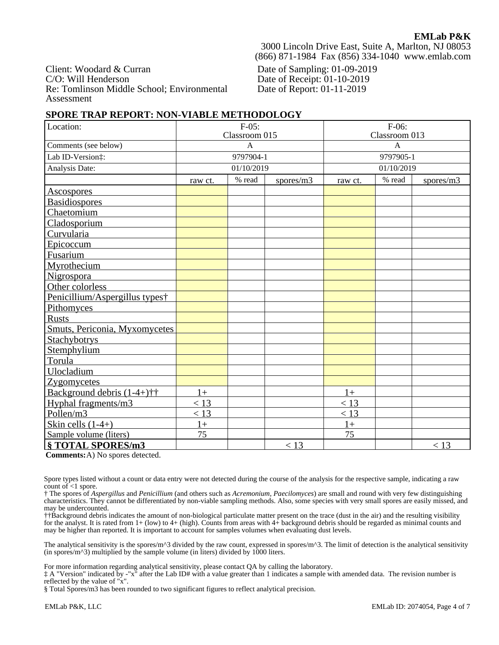Client: Woodard & Curran C/O: Will Henderson Re: Tomlinson Middle School; Environmental Assessment

Date of Sampling: 01-09-2019 Date of Receipt: 01-10-2019 Date of Report: 01-11-2019

#### **SPORE TRAP REPORT: NON-VIABLE METHODOLOGY**

| Location:                      | $F-05$ :<br>Classroom 015 |            |              | $F-06$ :<br>Classroom 013 |            |           |
|--------------------------------|---------------------------|------------|--------------|---------------------------|------------|-----------|
| Comments (see below)           | $\mathbf{A}$              |            | $\mathbf{A}$ |                           |            |           |
| Lab ID-Version:                | 9797904-1                 |            | 9797905-1    |                           |            |           |
| Analysis Date:                 |                           | 01/10/2019 |              |                           | 01/10/2019 |           |
|                                | raw ct.                   | % read     | spores/m3    | % read<br>raw ct.         |            | spores/m3 |
| <b>Ascospores</b>              |                           |            |              |                           |            |           |
| <b>Basidiospores</b>           |                           |            |              |                           |            |           |
| Chaetomium                     |                           |            |              |                           |            |           |
| Cladosporium                   |                           |            |              |                           |            |           |
| Curvularia                     |                           |            |              |                           |            |           |
| Epicoccum                      |                           |            |              |                           |            |           |
| Fusarium                       |                           |            |              |                           |            |           |
| Myrothecium                    |                           |            |              |                           |            |           |
| Nigrospora                     |                           |            |              |                           |            |           |
| Other colorless                |                           |            |              |                           |            |           |
| Penicillium/Aspergillus types† |                           |            |              |                           |            |           |
| Pithomyces                     |                           |            |              |                           |            |           |
| <b>Rusts</b>                   |                           |            |              |                           |            |           |
| Smuts, Periconia, Myxomycetes  |                           |            |              |                           |            |           |
| <b>Stachybotrys</b>            |                           |            |              |                           |            |           |
| <b>Stemphylium</b>             |                           |            |              |                           |            |           |
| Torula                         |                           |            |              |                           |            |           |
| Ulocladium                     |                           |            |              |                           |            |           |
| Zygomycetes                    |                           |            |              |                           |            |           |
| Background debris $(1-4+)$ ††  | $1+$                      |            |              | $1+$                      |            |           |
| Hyphal fragments/m3            | $<$ 13                    |            |              | $<$ 13                    |            |           |
| Pollen/m3                      | < 13                      |            |              | $<$ 13                    |            |           |
| Skin cells $(1-4+)$            | $1+$                      |            |              | $1+$                      |            |           |
| Sample volume (liters)         | 75                        |            |              | 75                        |            |           |
| § TOTAL SPORES/m3              |                           |            | < 13         |                           |            | < 13      |

**Comments:**A) No spores detected.

Spore types listed without a count or data entry were not detected during the course of the analysis for the respective sample, indicating a raw count of <1 spore.

† The spores of *Aspergillus* and *Penicillium* (and others such as *Acremonium, Paecilomyces*) are small and round with very few distinguishing characteristics. They cannot be differentiated by non-viable sampling methods. Also, some species with very small spores are easily missed, and may be undercounted.

††Background debris indicates the amount of non-biological particulate matter present on the trace (dust in the air) and the resulting visibility for the analyst. It is rated from  $1+$  (low) to  $4+$  (high). Counts from areas with  $4+$  background debris should be regarded as minimal counts and may be higher than reported. It is important to account for samples volumes when evaluating dust levels.

The analytical sensitivity is the spores/m^3 divided by the raw count, expressed in spores/m^3. The limit of detection is the analytical sensitivity (in spores/ $m^2$ ) multiplied by the sample volume (in liters) divided by 1000 liters.

For more information regarding analytical sensitivity, please contact QA by calling the laboratory.

‡ A "Version" indicated by -"x" after the Lab ID# with a value greater than 1 indicates a sample with amended data. The revision number is reflected by the value of "x".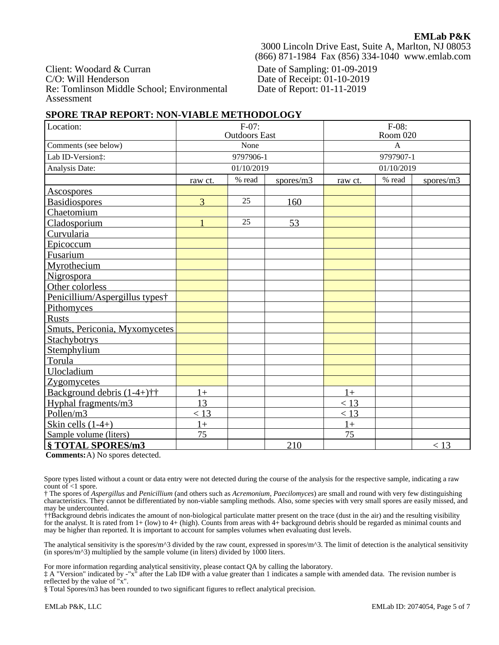Client: Woodard & Curran C/O: Will Henderson Re: Tomlinson Middle School; Environmental Assessment

Date of Sampling: 01-09-2019 Date of Receipt: 01-10-2019 Date of Report: 01-11-2019

#### **SPORE TRAP REPORT: NON-VIABLE METHODOLOGY**

| Location:                      | $F-07:$<br><b>Outdoors East</b> |            |              | $F-08:$<br>Room 020 |                     |      |  |
|--------------------------------|---------------------------------|------------|--------------|---------------------|---------------------|------|--|
| Comments (see below)           | None                            |            | $\mathbf{A}$ |                     |                     |      |  |
| Lab ID-Version:                | 9797906-1                       |            | 9797907-1    |                     |                     |      |  |
| Analysis Date:                 |                                 | 01/10/2019 |              |                     | 01/10/2019          |      |  |
|                                | raw ct.                         | % read     | spores/m3    | raw ct.             | % read<br>spores/m3 |      |  |
| <b>Ascospores</b>              |                                 |            |              |                     |                     |      |  |
| <b>Basidiospores</b>           | 3                               | 25         | 160          |                     |                     |      |  |
| Chaetomium                     |                                 |            |              |                     |                     |      |  |
| Cladosporium                   | 1                               | 25         | 53           |                     |                     |      |  |
| Curvularia                     |                                 |            |              |                     |                     |      |  |
| Epicoccum                      |                                 |            |              |                     |                     |      |  |
| Fusarium                       |                                 |            |              |                     |                     |      |  |
| Myrothecium                    |                                 |            |              |                     |                     |      |  |
| Nigrospora                     |                                 |            |              |                     |                     |      |  |
| Other colorless                |                                 |            |              |                     |                     |      |  |
| Penicillium/Aspergillus types† |                                 |            |              |                     |                     |      |  |
| Pithomyces                     |                                 |            |              |                     |                     |      |  |
| <b>Rusts</b>                   |                                 |            |              |                     |                     |      |  |
| Smuts, Periconia, Myxomycetes  |                                 |            |              |                     |                     |      |  |
| <b>Stachybotrys</b>            |                                 |            |              |                     |                     |      |  |
| <b>Stemphylium</b>             |                                 |            |              |                     |                     |      |  |
| Torula                         |                                 |            |              |                     |                     |      |  |
| Ulocladium                     |                                 |            |              |                     |                     |      |  |
| Zygomycetes                    |                                 |            |              |                     |                     |      |  |
| Background debris $(1-4+)$ ††  | $1+$                            |            |              | $1+$                |                     |      |  |
| Hyphal fragments/m3            | 13                              |            |              | $<$ 13              |                     |      |  |
| Pollen/m3                      | < 13                            |            |              | $<$ 13              |                     |      |  |
| Skin cells $(1-4+)$            | $1+$                            |            |              | $1+$                |                     |      |  |
| Sample volume (liters)         | 75                              |            |              | 75                  |                     |      |  |
| § TOTAL SPORES/m3              |                                 |            | 210          |                     |                     | < 13 |  |

**Comments:**A) No spores detected.

Spore types listed without a count or data entry were not detected during the course of the analysis for the respective sample, indicating a raw count of <1 spore.

† The spores of *Aspergillus* and *Penicillium* (and others such as *Acremonium, Paecilomyces*) are small and round with very few distinguishing characteristics. They cannot be differentiated by non-viable sampling methods. Also, some species with very small spores are easily missed, and may be undercounted.

††Background debris indicates the amount of non-biological particulate matter present on the trace (dust in the air) and the resulting visibility for the analyst. It is rated from  $1+$  (low) to  $4+$  (high). Counts from areas with  $4+$  background debris should be regarded as minimal counts and may be higher than reported. It is important to account for samples volumes when evaluating dust levels.

The analytical sensitivity is the spores/m^3 divided by the raw count, expressed in spores/m^3. The limit of detection is the analytical sensitivity (in spores/ $m^2$ ) multiplied by the sample volume (in liters) divided by 1000 liters.

For more information regarding analytical sensitivity, please contact QA by calling the laboratory.

‡ A "Version" indicated by -"x" after the Lab ID# with a value greater than 1 indicates a sample with amended data. The revision number is reflected by the value of "x".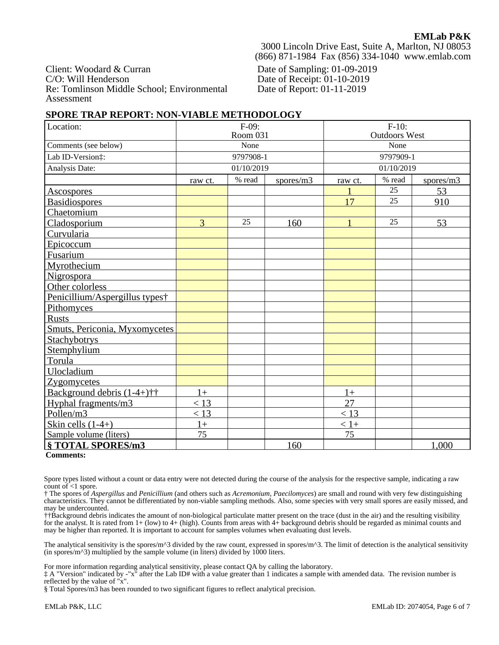Client: Woodard & Curran C/O: Will Henderson Re: Tomlinson Middle School; Environmental Assessment

Date of Sampling: 01-09-2019 Date of Receipt: 01-10-2019 Date of Report: 01-11-2019

#### **SPORE TRAP REPORT: NON-VIABLE METHODOLOGY**

| Location:                                                  | $F-09:$          |            | $F-10$ :  |                              |            |           |
|------------------------------------------------------------|------------------|------------|-----------|------------------------------|------------|-----------|
|                                                            | Room 031<br>None |            |           | <b>Outdoors West</b><br>None |            |           |
| Comments (see below)                                       |                  |            |           |                              |            |           |
| Lab ID-Version:                                            |                  | 9797908-1  |           |                              | 9797909-1  |           |
| Analysis Date:                                             |                  | 01/10/2019 |           |                              | 01/10/2019 |           |
|                                                            | raw ct.          | % read     | spores/m3 | raw ct.                      | % read     | spores/m3 |
| <b>Ascospores</b>                                          |                  |            |           |                              | 25         | 53        |
| <b>Basidiospores</b>                                       |                  |            |           | 17                           | 25         | 910       |
| Chaetomium                                                 |                  |            |           |                              |            |           |
| Cladosporium                                               | $\overline{3}$   | 25         | 160       | $\mathbf{1}$                 | 25         | 53        |
| Curvularia                                                 |                  |            |           |                              |            |           |
| Epicoccum                                                  |                  |            |           |                              |            |           |
| Fusarium                                                   |                  |            |           |                              |            |           |
| Myrothecium                                                |                  |            |           |                              |            |           |
| <b>Nigrospora</b>                                          |                  |            |           |                              |            |           |
| Other colorless                                            |                  |            |           |                              |            |           |
| Penicillium/Aspergillus types†                             |                  |            |           |                              |            |           |
| <b>Pithomyces</b>                                          |                  |            |           |                              |            |           |
| <b>Rusts</b>                                               |                  |            |           |                              |            |           |
| Smuts, Periconia, Myxomycetes                              |                  |            |           |                              |            |           |
| <b>Stachybotrys</b>                                        |                  |            |           |                              |            |           |
| Stemphylium                                                |                  |            |           |                              |            |           |
| Torula                                                     |                  |            |           |                              |            |           |
| Ulocladium                                                 |                  |            |           |                              |            |           |
| Zygomycetes                                                |                  |            |           |                              |            |           |
| Background debris $(1-4+)$ <sup><math>\dagger</math></sup> | $1+$             |            |           | $1+$                         |            |           |
| Hyphal fragments/m3                                        | < 13             |            |           | 27                           |            |           |
| Pollen/m3                                                  | < 13             |            |           | < 13                         |            |           |
| Skin cells $(1-4+)$                                        | $1+$             |            |           | $< 1+$                       |            |           |
| Sample volume (liters)                                     | 75               |            |           | 75                           |            |           |
| § TOTAL SPORES/m3                                          |                  |            | 160       |                              |            | 1,000     |

**Comments:**

Spore types listed without a count or data entry were not detected during the course of the analysis for the respective sample, indicating a raw count of  $\leq 1$  spore.

† The spores of *Aspergillus* and *Penicillium* (and others such as *Acremonium, Paecilomyces*) are small and round with very few distinguishing characteristics. They cannot be differentiated by non-viable sampling methods. Also, some species with very small spores are easily missed, and may be undercounted.

††Background debris indicates the amount of non-biological particulate matter present on the trace (dust in the air) and the resulting visibility for the analyst. It is rated from  $1+$  (low) to  $4+$  (high). Counts from areas with  $4+$  background debris should be regarded as minimal counts and may be higher than reported. It is important to account for samples volumes when evaluating dust levels.

The analytical sensitivity is the spores/m^3 divided by the raw count, expressed in spores/m^3. The limit of detection is the analytical sensitivity (in spores/ $m^2$ ) multiplied by the sample volume (in liters) divided by 1000 liters.

For more information regarding analytical sensitivity, please contact QA by calling the laboratory.

‡ A "Version" indicated by -"x" after the Lab ID# with a value greater than 1 indicates a sample with amended data. The revision number is reflected by the value of "x".